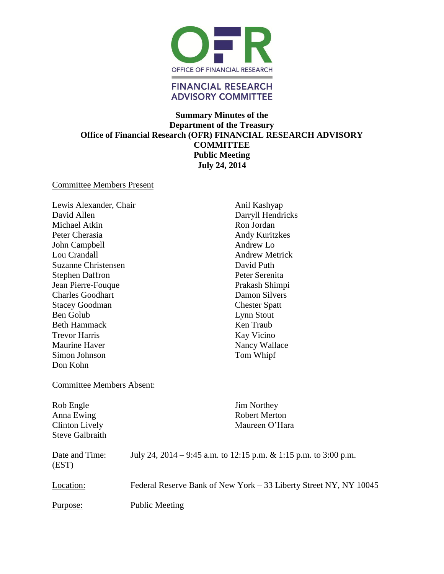

# **Summary Minutes of the Department of the Treasury Office of Financial Research (OFR) FINANCIAL RESEARCH ADVISORY COMMITTEE Public Meeting July 24, 2014**

#### Committee Members Present

Lewis Alexander, Chair David Allen Michael Atkin Peter Cherasia John Campbell Lou Crandall Suzanne Christensen Stephen Daffron Jean Pierre-Fouque Charles Goodhart Stacey Goodman Ben Golub Beth Hammack Trevor Harris Maurine Haver Simon Johnson Don Kohn

Anil Kashyap Darryll Hendricks Ron Jordan Andy Kuritzkes Andrew Lo Andrew Metrick David Puth Peter Serenita Prakash Shimpi Damon Silvers Chester Spatt Lynn Stout Ken Traub Kay Vicino Nancy Wallace Tom Whipf

### Committee Members Absent:

Rob Engle Anna Ewing Clinton Lively Steve Galbraith Jim Northey Robert Merton Maureen O'Hara

| Date and Time:<br>(EST) | July 24, 2014 – 9:45 a.m. to 12:15 p.m. & 1:15 p.m. to 3:00 p.m.  |
|-------------------------|-------------------------------------------------------------------|
| Location:               | Federal Reserve Bank of New York – 33 Liberty Street NY, NY 10045 |
| <u>Purpose:</u>         | <b>Public Meeting</b>                                             |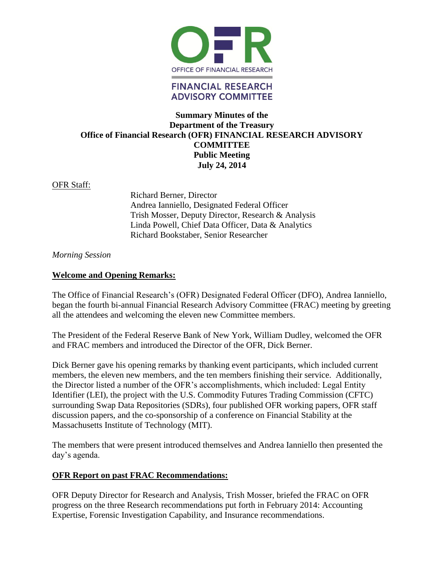

# **Summary Minutes of the Department of the Treasury Office of Financial Research (OFR) FINANCIAL RESEARCH ADVISORY COMMITTEE Public Meeting July 24, 2014**

### OFR Staff:

Richard Berner, Director Andrea Ianniello, Designated Federal Officer Trish Mosser, Deputy Director, Research & Analysis Linda Powell, Chief Data Officer, Data & Analytics Richard Bookstaber, Senior Researcher

### *Morning Session*

### **Welcome and Opening Remarks:**

The Office of Financial Research's (OFR) Designated Federal Officer (DFO), Andrea Ianniello, began the fourth bi-annual Financial Research Advisory Committee (FRAC) meeting by greeting all the attendees and welcoming the eleven new Committee members.

The President of the Federal Reserve Bank of New York, William Dudley, welcomed the OFR and FRAC members and introduced the Director of the OFR, Dick Berner.

Dick Berner gave his opening remarks by thanking event participants, which included current members, the eleven new members, and the ten members finishing their service. Additionally, the Director listed a number of the OFR's accomplishments, which included: Legal Entity Identifier (LEI), the project with the U.S. Commodity Futures Trading Commission (CFTC) surrounding Swap Data Repositories (SDRs), four published OFR working papers, OFR staff discussion papers, and the co-sponsorship of a conference on Financial Stability at the Massachusetts Institute of Technology (MIT).

The members that were present introduced themselves and Andrea Ianniello then presented the day's agenda.

### **OFR Report on past FRAC Recommendations:**

OFR Deputy Director for Research and Analysis, Trish Mosser, briefed the FRAC on OFR progress on the three Research recommendations put forth in February 2014: Accounting Expertise, Forensic Investigation Capability, and Insurance recommendations.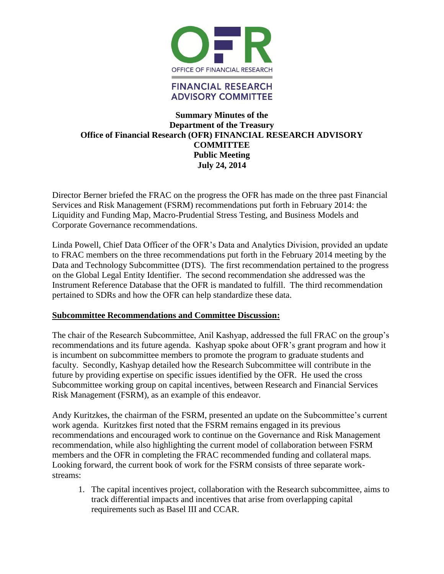

# **Summary Minutes of the Department of the Treasury Office of Financial Research (OFR) FINANCIAL RESEARCH ADVISORY COMMITTEE Public Meeting July 24, 2014**

Director Berner briefed the FRAC on the progress the OFR has made on the three past Financial Services and Risk Management (FSRM) recommendations put forth in February 2014: the Liquidity and Funding Map, Macro-Prudential Stress Testing, and Business Models and Corporate Governance recommendations.

Linda Powell, Chief Data Officer of the OFR's Data and Analytics Division, provided an update to FRAC members on the three recommendations put forth in the February 2014 meeting by the Data and Technology Subcommittee (DTS). The first recommendation pertained to the progress on the Global Legal Entity Identifier. The second recommendation she addressed was the Instrument Reference Database that the OFR is mandated to fulfill. The third recommendation pertained to SDRs and how the OFR can help standardize these data.

### **Subcommittee Recommendations and Committee Discussion:**

The chair of the Research Subcommittee, Anil Kashyap, addressed the full FRAC on the group's recommendations and its future agenda. Kashyap spoke about OFR's grant program and how it is incumbent on subcommittee members to promote the program to graduate students and faculty. Secondly, Kashyap detailed how the Research Subcommittee will contribute in the future by providing expertise on specific issues identified by the OFR. He used the cross Subcommittee working group on capital incentives, between Research and Financial Services Risk Management (FSRM), as an example of this endeavor.

Andy Kuritzkes, the chairman of the FSRM, presented an update on the Subcommittee's current work agenda. Kuritzkes first noted that the FSRM remains engaged in its previous recommendations and encouraged work to continue on the Governance and Risk Management recommendation, while also highlighting the current model of collaboration between FSRM members and the OFR in completing the FRAC recommended funding and collateral maps. Looking forward, the current book of work for the FSRM consists of three separate workstreams:

1. The capital incentives project, collaboration with the Research subcommittee, aims to track differential impacts and incentives that arise from overlapping capital requirements such as Basel III and CCAR.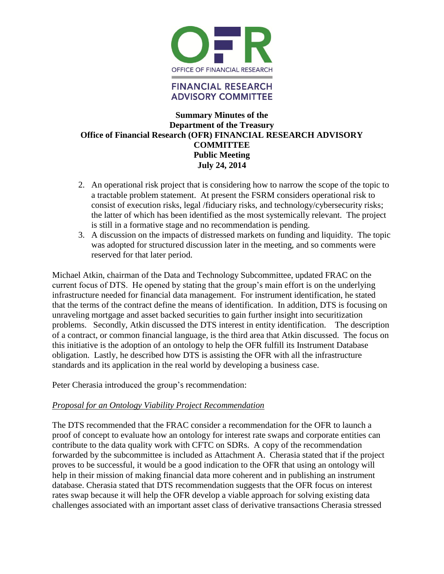![](_page_3_Picture_0.jpeg)

### **Summary Minutes of the Department of the Treasury Office of Financial Research (OFR) FINANCIAL RESEARCH ADVISORY COMMITTEE Public Meeting July 24, 2014**

- 2. An operational risk project that is considering how to narrow the scope of the topic to a tractable problem statement. At present the FSRM considers operational risk to consist of execution risks, legal /fiduciary risks, and technology/cybersecurity risks; the latter of which has been identified as the most systemically relevant. The project is still in a formative stage and no recommendation is pending.
- 3. A discussion on the impacts of distressed markets on funding and liquidity. The topic was adopted for structured discussion later in the meeting, and so comments were reserved for that later period.

Michael Atkin, chairman of the Data and Technology Subcommittee, updated FRAC on the current focus of DTS. He opened by stating that the group's main effort is on the underlying infrastructure needed for financial data management. For instrument identification, he stated that the terms of the contract define the means of identification. In addition, DTS is focusing on unraveling mortgage and asset backed securities to gain further insight into securitization problems. Secondly, Atkin discussed the DTS interest in entity identification. The description of a contract, or common financial language, is the third area that Atkin discussed. The focus on this initiative is the adoption of an ontology to help the OFR fulfill its Instrument Database obligation. Lastly, he described how DTS is assisting the OFR with all the infrastructure standards and its application in the real world by developing a business case.

Peter Cherasia introduced the group's recommendation:

### *Proposal for an Ontology Viability Project Recommendation*

The DTS recommended that the FRAC consider a recommendation for the OFR to launch a proof of concept to evaluate how an ontology for interest rate swaps and corporate entities can contribute to the data quality work with CFTC on SDRs. A copy of the recommendation forwarded by the subcommittee is included as Attachment A. Cherasia stated that if the project proves to be successful, it would be a good indication to the OFR that using an ontology will help in their mission of making financial data more coherent and in publishing an instrument database. Cherasia stated that DTS recommendation suggests that the OFR focus on interest rates swap because it will help the OFR develop a viable approach for solving existing data challenges associated with an important asset class of derivative transactions Cherasia stressed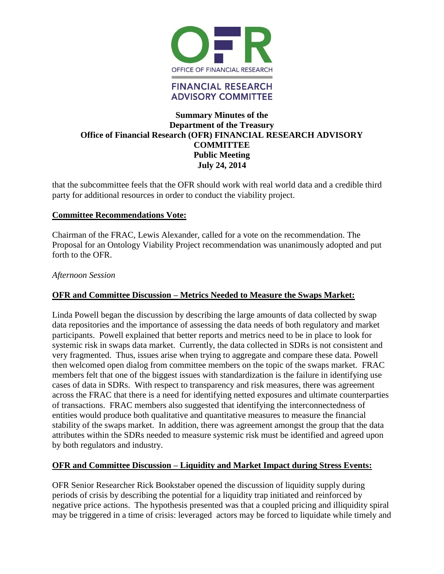![](_page_4_Picture_0.jpeg)

### **Summary Minutes of the Department of the Treasury Office of Financial Research (OFR) FINANCIAL RESEARCH ADVISORY COMMITTEE Public Meeting July 24, 2014**

that the subcommittee feels that the OFR should work with real world data and a credible third party for additional resources in order to conduct the viability project.

### **Committee Recommendations Vote:**

Chairman of the FRAC, Lewis Alexander, called for a vote on the recommendation. The Proposal for an Ontology Viability Project recommendation was unanimously adopted and put forth to the OFR.

#### *Afternoon Session*

### **OFR and Committee Discussion – Metrics Needed to Measure the Swaps Market:**

Linda Powell began the discussion by describing the large amounts of data collected by swap data repositories and the importance of assessing the data needs of both regulatory and market participants. Powell explained that better reports and metrics need to be in place to look for systemic risk in swaps data market. Currently, the data collected in SDRs is not consistent and very fragmented. Thus, issues arise when trying to aggregate and compare these data. Powell then welcomed open dialog from committee members on the topic of the swaps market. FRAC members felt that one of the biggest issues with standardization is the failure in identifying use cases of data in SDRs. With respect to transparency and risk measures, there was agreement across the FRAC that there is a need for identifying netted exposures and ultimate counterparties of transactions. FRAC members also suggested that identifying the interconnectedness of entities would produce both qualitative and quantitative measures to measure the financial stability of the swaps market. In addition, there was agreement amongst the group that the data attributes within the SDRs needed to measure systemic risk must be identified and agreed upon by both regulators and industry.

### **OFR and Committee Discussion – Liquidity and Market Impact during Stress Events:**

OFR Senior Researcher Rick Bookstaber opened the discussion of liquidity supply during periods of crisis by describing the potential for a liquidity trap initiated and reinforced by negative price actions. The hypothesis presented was that a coupled pricing and illiquidity spiral may be triggered in a time of crisis: leveraged actors may be forced to liquidate while timely and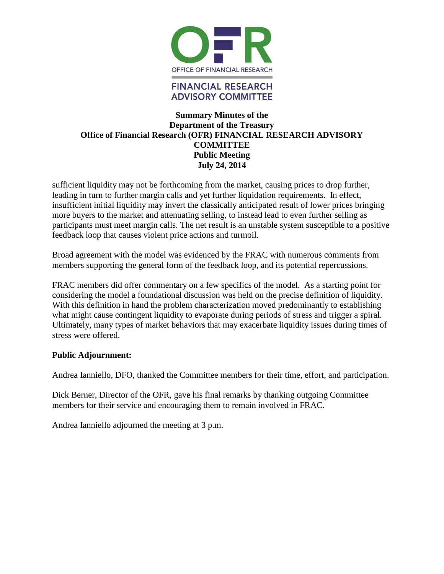![](_page_5_Picture_0.jpeg)

### **Summary Minutes of the Department of the Treasury Office of Financial Research (OFR) FINANCIAL RESEARCH ADVISORY COMMITTEE Public Meeting July 24, 2014**

sufficient liquidity may not be forthcoming from the market, causing prices to drop further, leading in turn to further margin calls and yet further liquidation requirements. In effect, insufficient initial liquidity may invert the classically anticipated result of lower prices bringing more buyers to the market and attenuating selling, to instead lead to even further selling as participants must meet margin calls. The net result is an unstable system susceptible to a positive feedback loop that causes violent price actions and turmoil.

Broad agreement with the model was evidenced by the FRAC with numerous comments from members supporting the general form of the feedback loop, and its potential repercussions.

FRAC members did offer commentary on a few specifics of the model. As a starting point for considering the model a foundational discussion was held on the precise definition of liquidity. With this definition in hand the problem characterization moved predominantly to establishing what might cause contingent liquidity to evaporate during periods of stress and trigger a spiral. Ultimately, many types of market behaviors that may exacerbate liquidity issues during times of stress were offered.

#### **Public Adjournment:**

Andrea Ianniello, DFO, thanked the Committee members for their time, effort, and participation.

Dick Berner, Director of the OFR, gave his final remarks by thanking outgoing Committee members for their service and encouraging them to remain involved in FRAC.

Andrea Ianniello adjourned the meeting at 3 p.m.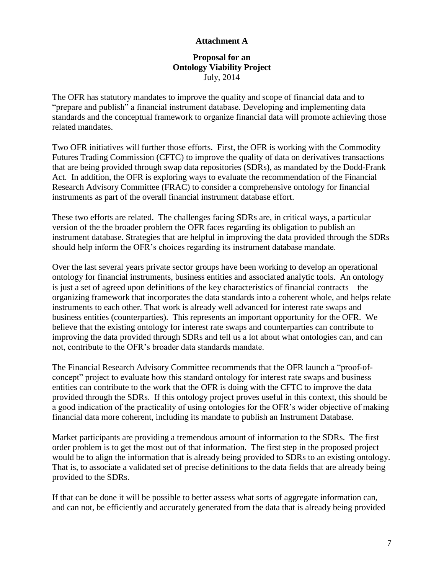#### **Proposal for an Ontology Viability Project**  July, 2014

The OFR has statutory mandates to improve the quality and scope of financial data and to "prepare and publish" a financial instrument database. Developing and implementing data standards and the conceptual framework to organize financial data will promote achieving those related mandates.

Two OFR initiatives will further those efforts. First, the OFR is working with the Commodity Futures Trading Commission (CFTC) to improve the quality of data on derivatives transactions that are being provided through swap data repositories (SDRs), as mandated by the Dodd-Frank Act. In addition, the OFR is exploring ways to evaluate the recommendation of the Financial Research Advisory Committee (FRAC) to consider a comprehensive ontology for financial instruments as part of the overall financial instrument database effort.

These two efforts are related. The challenges facing SDRs are, in critical ways, a particular version of the the broader problem the OFR faces regarding its obligation to publish an instrument database. Strategies that are helpful in improving the data provided through the SDRs should help inform the OFR's choices regarding its instrument database mandate.

Over the last several years private sector groups have been working to develop an operational ontology for financial instruments, business entities and associated analytic tools. An ontology is just a set of agreed upon definitions of the key characteristics of financial contracts—the organizing framework that incorporates the data standards into a coherent whole, and helps relate instruments to each other. That work is already well advanced for interest rate swaps and business entities (counterparties). This represents an important opportunity for the OFR. We believe that the existing ontology for interest rate swaps and counterparties can contribute to improving the data provided through SDRs and tell us a lot about what ontologies can, and can not, contribute to the OFR's broader data standards mandate.

The Financial Research Advisory Committee recommends that the OFR launch a "proof-ofconcept" project to evaluate how this standard ontology for interest rate swaps and business entities can contribute to the work that the OFR is doing with the CFTC to improve the data provided through the SDRs. If this ontology project proves useful in this context, this should be a good indication of the practicality of using ontologies for the OFR's wider objective of making financial data more coherent, including its mandate to publish an Instrument Database.

Market participants are providing a tremendous amount of information to the SDRs. The first order problem is to get the most out of that information. The first step in the proposed project would be to align the information that is already being provided to SDRs to an existing ontology. That is, to associate a validated set of precise definitions to the data fields that are already being provided to the SDRs.

If that can be done it will be possible to better assess what sorts of aggregate information can, and can not, be efficiently and accurately generated from the data that is already being provided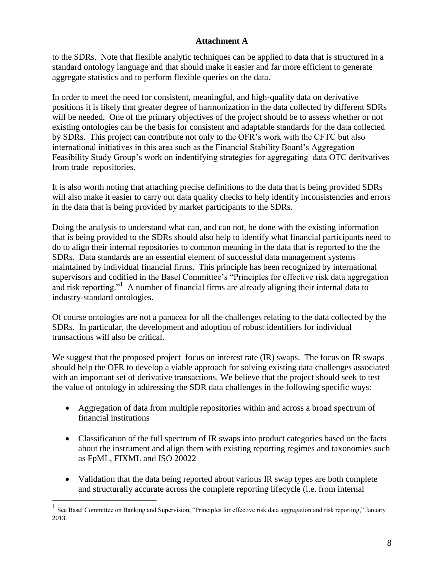to the SDRs. Note that flexible analytic techniques can be applied to data that is structured in a standard ontology language and that should make it easier and far more efficient to generate aggregate statistics and to perform flexible queries on the data.

In order to meet the need for consistent, meaningful, and high-quality data on derivative positions it is likely that greater degree of harmonization in the data collected by different SDRs will be needed. One of the primary objectives of the project should be to assess whether or not existing ontologies can be the basis for consistent and adaptable standards for the data collected by SDRs. This project can contribute not only to the OFR's work with the CFTC but also international initiatives in this area such as the Financial Stability Board's Aggregation Feasibility Study Group's work on indentifying strategies for aggregating data OTC deritvatives from trade repositories.

It is also worth noting that attaching precise definitions to the data that is being provided SDRs will also make it easier to carry out data quality checks to help identify inconsistencies and errors in the data that is being provided by market participants to the SDRs.

Doing the analysis to understand what can, and can not, be done with the existing information that is being provided to the SDRs should also help to identify what financial participants need to do to align their internal repositories to common meaning in the data that is reported to the the SDRs. Data standards are an essential element of successful data management systems maintained by individual financial firms. This principle has been recognized by international supervisors and codified in the Basel Committee's "Principles for effective risk data aggregation and risk reporting."<sup>1</sup> A number of financial firms are already aligning their internal data to industry-standard ontologies.

Of course ontologies are not a panacea for all the challenges relating to the data collected by the SDRs. In particular, the development and adoption of robust identifiers for individual transactions will also be critical.

We suggest that the proposed project focus on interest rate (IR) swaps. The focus on IR swaps should help the OFR to develop a viable approach for solving existing data challenges associated with an important set of derivative transactions. We believe that the project should seek to test the value of ontology in addressing the SDR data challenges in the following specific ways:

- Aggregation of data from multiple repositories within and across a broad spectrum of financial institutions
- Classification of the full spectrum of IR swaps into product categories based on the facts about the instrument and align them with existing reporting regimes and taxonomies such as FpML, FIXML and ISO 20022
- Validation that the data being reported about various IR swap types are both complete and structurally accurate across the complete reporting lifecycle (i.e. from internal

 $\overline{a}$ 

<sup>&</sup>lt;sup>1</sup> See Basel Committee on Banking and Supervision, "Principles for effective risk data aggregation and risk reporting," January 2013.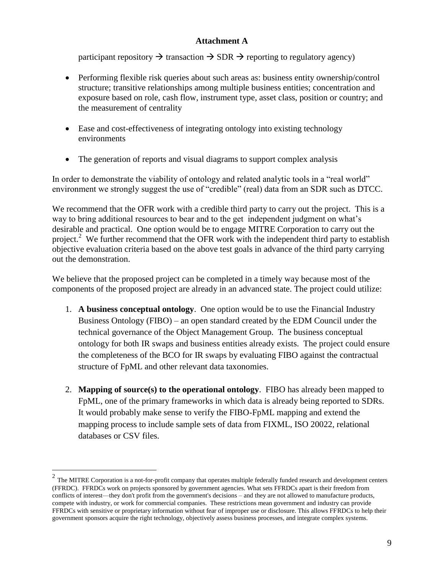participant repository  $\rightarrow$  transaction  $\rightarrow$  SDR  $\rightarrow$  reporting to regulatory agency)

- Performing flexible risk queries about such areas as: business entity ownership/control structure; transitive relationships among multiple business entities; concentration and exposure based on role, cash flow, instrument type, asset class, position or country; and the measurement of centrality
- Ease and cost-effectiveness of integrating ontology into existing technology environments
- The generation of reports and visual diagrams to support complex analysis

In order to demonstrate the viability of ontology and related analytic tools in a "real world" environment we strongly suggest the use of "credible" (real) data from an SDR such as DTCC.

We recommend that the OFR work with a credible third party to carry out the project. This is a way to bring additional resources to bear and to the get independent judgment on what's desirable and practical. One option would be to engage MITRE Corporation to carry out the project.<sup>2</sup> We further recommend that the OFR work with the independent third party to establish objective evaluation criteria based on the above test goals in advance of the third party carrying out the demonstration.

We believe that the proposed project can be completed in a timely way because most of the components of the proposed project are already in an advanced state. The project could utilize:

- 1. **A business conceptual ontology**. One option would be to use the Financial Industry Business Ontology (FIBO) – an open standard created by the EDM Council under the technical governance of the Object Management Group. The business conceptual ontology for both IR swaps and business entities already exists. The project could ensure the completeness of the BCO for IR swaps by evaluating FIBO against the contractual structure of FpML and other relevant data taxonomies.
- 2. **Mapping of source(s) to the operational ontology**. FIBO has already been mapped to FpML, one of the primary frameworks in which data is already being reported to SDRs. It would probably make sense to verify the FIBO-FpML mapping and extend the mapping process to include sample sets of data from FIXML, ISO 20022, relational databases or CSV files.

 $\overline{a}$ 

 $2$  The MITRE Corporation is a not-for-profit company that operates multiple federally funded research and development centers (FFRDC). FFRDCs work on projects sponsored by government agencies. What sets FFRDCs apart is their freedom from conflicts of interest—they don't profit from the government's decisions – and they are not allowed to manufacture products, compete with industry, or work for commercial companies. These restrictions mean government and industry can provide FFRDCs with sensitive or proprietary information without fear of improper use or disclosure. This allows FFRDCs to help their government sponsors acquire the right technology, objectively assess business processes, and integrate complex systems.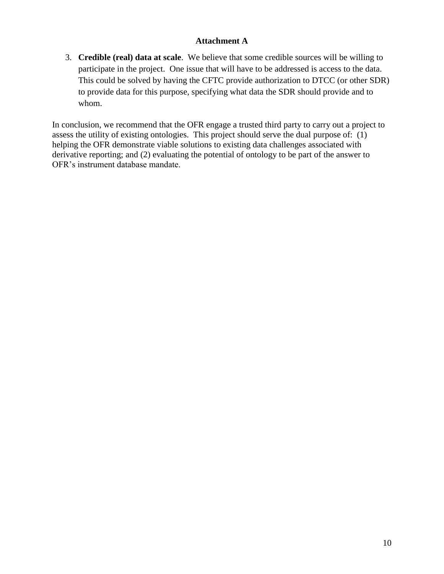3. **Credible (real) data at scale**. We believe that some credible sources will be willing to participate in the project. One issue that will have to be addressed is access to the data. This could be solved by having the CFTC provide authorization to DTCC (or other SDR) to provide data for this purpose, specifying what data the SDR should provide and to whom.

In conclusion, we recommend that the OFR engage a trusted third party to carry out a project to assess the utility of existing ontologies. This project should serve the dual purpose of: (1) helping the OFR demonstrate viable solutions to existing data challenges associated with derivative reporting; and (2) evaluating the potential of ontology to be part of the answer to OFR's instrument database mandate.